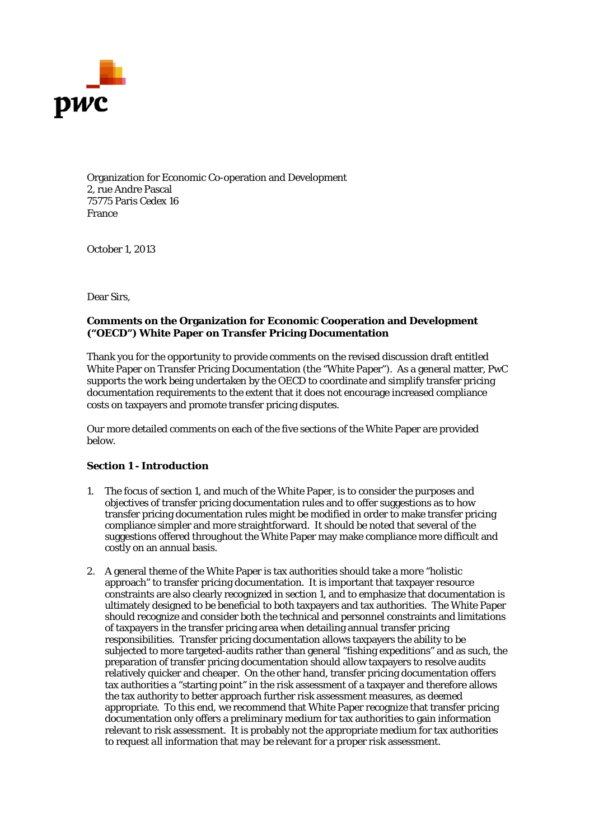

Organization for Economic Co-operation and Development 2, rue Andre Pascal 75775 Paris Cedex 16 France

October 1, 2013

Dear Sirs,

## **Comments on the Organization for Economic Cooperation and Development ("OECD") White Paper on Transfer Pricing Documentation**

Thank you for the opportunity to provide comments on the revised discussion draft entitled White Paper on Transfer Pricing Documentation (the "White Paper"). As a general matter, PwC supports the work being undertaken by the OECD to coordinate and simplify transfer pricing documentation requirements to the extent that it does not encourage increased compliance costs on taxpayers and promote transfer pricing disputes.

Our more detailed comments on each of the five sections of the White Paper are provided below.

# *Section 1 - Introduction*

- 1. The focus of section 1, and much of the White Paper, is to consider the purposes and objectives of transfer pricing documentation rules and to offer suggestions as to how transfer pricing documentation rules might be modified in order to make transfer pricing compliance simpler and more straightforward. It should be noted that several of the suggestions offered throughout the White Paper may make compliance more difficult and costly on an annual basis.
- 2. A general theme of the White Paper is tax authorities should take a more "holistic approach" to transfer pricing documentation. It is important that taxpayer resource constraints are also clearly recognized in section 1, and to emphasize that documentation is ultimately designed to be beneficial to both taxpayers and tax authorities. The White Paper should recognize and consider both the technical and personnel constraints and limitations of taxpayers in the transfer pricing area when detailing annual transfer pricing responsibilities. Transfer pricing documentation allows taxpayers the ability to be subjected to more targeted-audits rather than general "fishing expeditions" and as such, the preparation of transfer pricing documentation should allow taxpayers to resolve audits relatively quicker and cheaper. On the other hand, transfer pricing documentation offers tax authorities a "starting point" in the risk assessment of a taxpayer and therefore allows the tax authority to better approach further risk assessment measures, as deemed appropriate. To this end, we recommend that White Paper recognize that transfer pricing documentation only offers a preliminary medium for tax authorities to gain information relevant to risk assessment. It is probably not the appropriate medium for tax authorities to request *all* information that *may* be relevant for a proper risk assessment.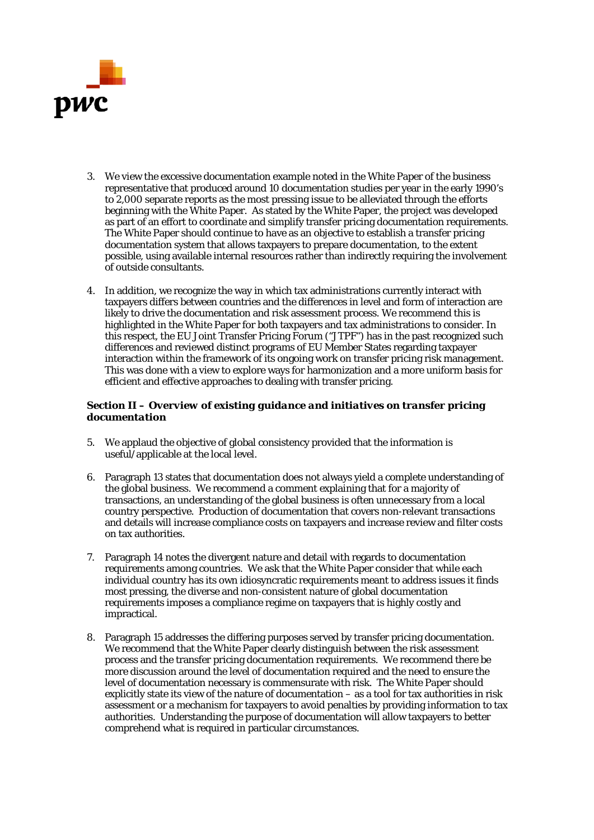

- 3. We view the excessive documentation example noted in the White Paper of the business representative that produced around 10 documentation studies per year in the early 1990's to 2,000 separate reports as the most pressing issue to be alleviated through the efforts beginning with the White Paper. As stated by the White Paper, the project was developed as part of an effort to coordinate and simplify transfer pricing documentation requirements. The White Paper should continue to have as an objective to establish a transfer pricing documentation system that allows taxpayers to prepare documentation, to the extent possible, using available internal resources rather than indirectly requiring the involvement of outside consultants.
- 4. In addition, we recognize the way in which tax administrations currently interact with taxpayers differs between countries and the differences in level and form of interaction are likely to drive the documentation and risk assessment process. We recommend this is highlighted in the White Paper for both taxpayers and tax administrations to consider. In this respect, the EU Joint Transfer Pricing Forum ("JTPF") has in the past recognized such differences and reviewed distinct programs of EU Member States regarding taxpayer interaction within the framework of its ongoing work on transfer pricing risk management. This was done with a view to explore ways for harmonization and a more uniform basis for efficient and effective approaches to dealing with transfer pricing.

## *Section II – Overview of existing guidance and initiatives on transfer pricing documentation*

- 5. We applaud the objective of global consistency provided that the information is useful/applicable at the local level.
- 6. Paragraph 13 states that documentation does not always yield a complete understanding of the global business. We recommend a comment explaining that for a majority of transactions, an understanding of the global business is often unnecessary from a local country perspective. Production of documentation that covers non-relevant transactions and details will increase compliance costs on taxpayers and increase review and filter costs on tax authorities.
- 7. Paragraph 14 notes the divergent nature and detail with regards to documentation requirements among countries. We ask that the White Paper consider that while each individual country has its own idiosyncratic requirements meant to address issues it finds most pressing, the diverse and non-consistent nature of global documentation requirements imposes a compliance regime on taxpayers that is highly costly and impractical.
- 8. Paragraph 15 addresses the differing purposes served by transfer pricing documentation. We recommend that the White Paper clearly distinguish between the risk assessment process and the transfer pricing documentation requirements. We recommend there be more discussion around the level of documentation required and the need to ensure the level of documentation necessary is commensurate with risk. The White Paper should explicitly state its view of the nature of documentation – as a tool for tax authorities in risk assessment or a mechanism for taxpayers to avoid penalties by providing information to tax authorities. Understanding the purpose of documentation will allow taxpayers to better comprehend what is required in particular circumstances.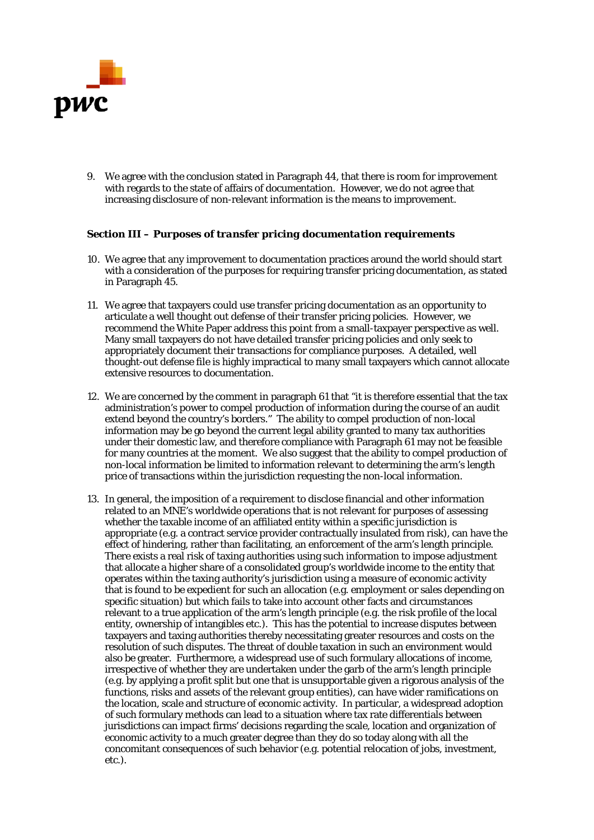

9. We agree with the conclusion stated in Paragraph 44, that there is room for improvement with regards to the state of affairs of documentation. However, we do not agree that increasing disclosure of non-relevant information is the means to improvement.

## *Section III – Purposes of transfer pricing documentation requirements*

- 10. We agree that any improvement to documentation practices around the world should start with a consideration of the purposes for requiring transfer pricing documentation, as stated in Paragraph 45.
- 11. We agree that taxpayers could use transfer pricing documentation as an opportunity to articulate a well thought out defense of their transfer pricing policies. However, we recommend the White Paper address this point from a small-taxpayer perspective as well. Many small taxpayers do not have detailed transfer pricing policies and only seek to appropriately document their transactions for compliance purposes. A detailed, well thought-out defense file is highly impractical to many small taxpayers which cannot allocate extensive resources to documentation.
- 12. We are concerned by the comment in paragraph 61 that "it is therefore essential that the tax administration's power to compel production of information during the course of an audit extend beyond the country's borders." The ability to compel production of non-local information may be go beyond the current legal ability granted to many tax authorities under their domestic law, and therefore compliance with Paragraph 61 may not be feasible for many countries at the moment. We also suggest that the ability to compel production of non-local information be limited to information relevant to determining the arm's length price of transactions within the jurisdiction requesting the non-local information.
- 13. In general, the imposition of a requirement to disclose financial and other information related to an MNE's worldwide operations that is not relevant for purposes of assessing whether the taxable income of an affiliated entity within a specific jurisdiction is appropriate (e.g. a contract service provider contractually insulated from risk), can have the effect of hindering, rather than facilitating, an enforcement of the arm's length principle. There exists a real risk of taxing authorities using such information to impose adjustment that allocate a higher share of a consolidated group's worldwide income to the entity that operates within the taxing authority's jurisdiction using a measure of economic activity that is found to be expedient for such an allocation (e.g. employment or sales depending on specific situation) but which fails to take into account other facts and circumstances relevant to a true application of the arm's length principle (e.g. the risk profile of the local entity, ownership of intangibles etc.). This has the potential to increase disputes between taxpayers and taxing authorities thereby necessitating greater resources and costs on the resolution of such disputes. The threat of double taxation in such an environment would also be greater. Furthermore, a widespread use of such formulary allocations of income, irrespective of whether they are undertaken under the garb of the arm's length principle (e.g. by applying a profit split but one that is unsupportable given a rigorous analysis of the functions, risks and assets of the relevant group entities), can have wider ramifications on the location, scale and structure of economic activity. In particular, a widespread adoption of such formulary methods can lead to a situation where tax rate differentials between jurisdictions can impact firms' decisions regarding the scale, location and organization of economic activity to a much greater degree than they do so today along with all the concomitant consequences of such behavior (e.g. potential relocation of jobs, investment, etc.).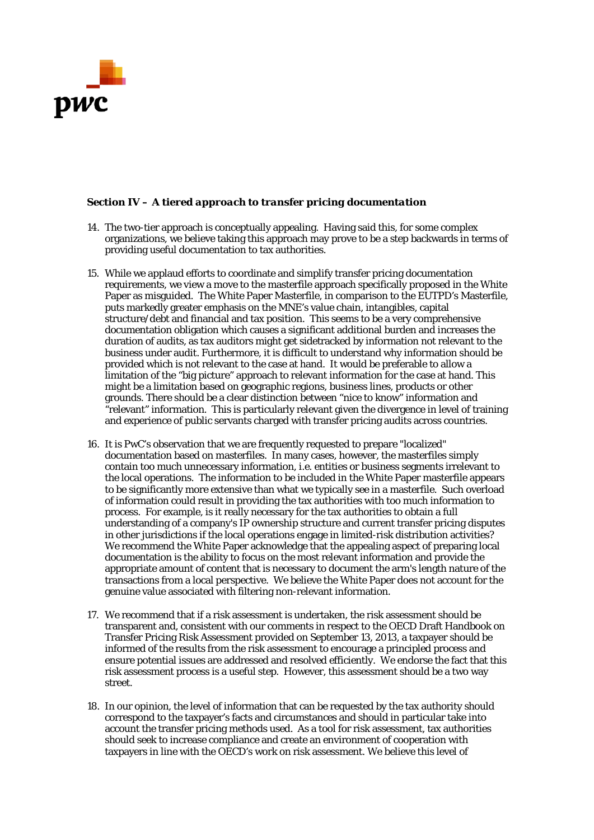

# *Section IV – A tiered approach to transfer pricing documentation*

- 14. The two-tier approach is conceptually appealing. Having said this, for some complex organizations, we believe taking this approach may prove to be a step backwards in terms of providing useful documentation to tax authorities.
- 15. While we applaud efforts to coordinate and simplify transfer pricing documentation requirements, we view a move to the masterfile approach specifically proposed in the White Paper as misguided. The White Paper Masterfile, in comparison to the EUTPD's Masterfile, puts markedly greater emphasis on the MNE's value chain, intangibles, capital structure/debt and financial and tax position. This seems to be a very comprehensive documentation obligation which causes a significant additional burden and increases the duration of audits, as tax auditors might get sidetracked by information not relevant to the business under audit. Furthermore, it is difficult to understand why information should be provided which is not relevant to the case at hand. It would be preferable to allow a limitation of the "big picture" approach to relevant information for the case at hand. This might be a limitation based on geographic regions, business lines, products or other grounds. There should be a clear distinction between "nice to know" information and "relevant" information. This is particularly relevant given the divergence in level of training and experience of public servants charged with transfer pricing audits across countries.
- 16. It is PwC's observation that we are frequently requested to prepare "localized" documentation based on masterfiles. In many cases, however, the masterfiles simply contain too much unnecessary information, *i.e*. entities or business segments irrelevant to the local operations. The information to be included in the White Paper masterfile appears to be significantly more extensive than what we typically see in a masterfile. Such overload of information could result in providing the tax authorities with too much information to process. For example, is it really necessary for the tax authorities to obtain a full understanding of a company's IP ownership structure and current transfer pricing disputes in other jurisdictions if the local operations engage in limited-risk distribution activities? We recommend the White Paper acknowledge that the appealing aspect of preparing local documentation is the ability to focus on the most relevant information and provide the appropriate amount of content that is necessary to document the arm's length nature of the transactions from a local perspective. We believe the White Paper does not account for the genuine value associated with filtering non-relevant information.
- 17. We recommend that if a risk assessment is undertaken, the risk assessment should be transparent and, consistent with our comments in respect to the OECD Draft Handbook on Transfer Pricing Risk Assessment provided on September 13, 2013, a taxpayer should be informed of the results from the risk assessment to encourage a principled process and ensure potential issues are addressed and resolved efficiently. We endorse the fact that this risk assessment process is a useful step. However, this assessment should be a two way street.
- 18. In our opinion, the level of information that can be requested by the tax authority should correspond to the taxpayer's facts and circumstances and should in particular take into account the transfer pricing methods used. As a tool for risk assessment, tax authorities should seek to increase compliance and create an environment of cooperation with taxpayers in line with the OECD's work on risk assessment. We believe this level of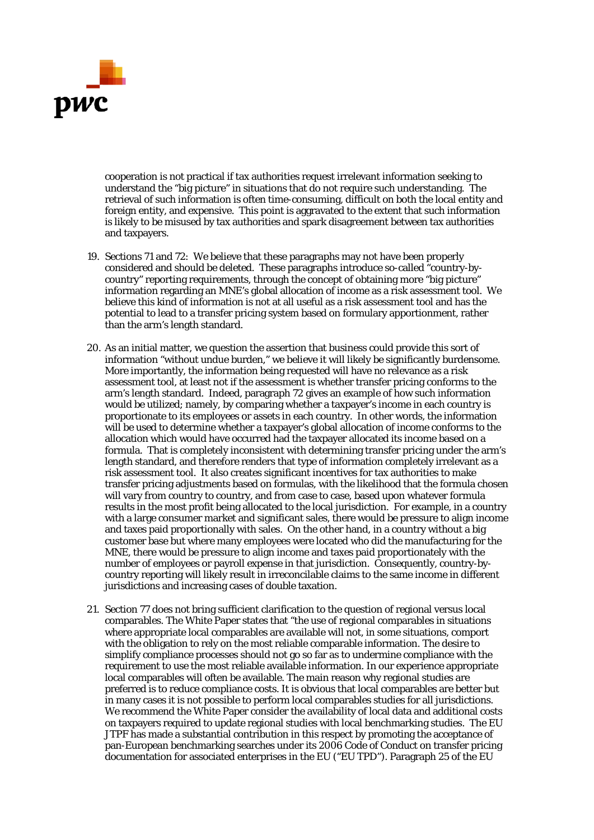

cooperation is not practical if tax authorities request irrelevant information seeking to understand the "big picture" in situations that do not require such understanding. The retrieval of such information is often time-consuming, difficult on both the local entity and foreign entity, and expensive. This point is aggravated to the extent that such information is likely to be misused by tax authorities and spark disagreement between tax authorities and taxpayers.

- 19. Sections 71 and 72: We believe that these paragraphs may not have been properly considered and should be deleted. These paragraphs introduce so-called "country-bycountry" reporting requirements, through the concept of obtaining more "big picture" information regarding an MNE's global allocation of income as a risk assessment tool. We believe this kind of information is not at all useful as a risk assessment tool and has the potential to lead to a transfer pricing system based on formulary apportionment, rather than the arm's length standard.
- 20. As an initial matter, we question the assertion that business could provide this sort of information "without undue burden," we believe it will likely be significantly burdensome. More importantly, the information being requested will have no relevance as a risk assessment tool, at least not if the assessment is whether transfer pricing conforms to the arm's length standard. Indeed, paragraph 72 gives an example of how such information would be utilized; namely, by comparing whether a taxpayer's income in each country is proportionate to its employees or assets in each country. In other words, the information will be used to determine whether a taxpayer's global allocation of income conforms to the allocation which would have occurred had the taxpayer allocated its income based on a formula. That is completely inconsistent with determining transfer pricing under the arm's length standard, and therefore renders that type of information completely irrelevant as a risk assessment tool. It also creates significant incentives for tax authorities to make transfer pricing adjustments based on formulas, with the likelihood that the formula chosen will vary from country to country, and from case to case, based upon whatever formula results in the most profit being allocated to the local jurisdiction. For example, in a country with a large consumer market and significant sales, there would be pressure to align income and taxes paid proportionally with sales. On the other hand, in a country without a big customer base but where many employees were located who did the manufacturing for the MNE, there would be pressure to align income and taxes paid proportionately with the number of employees or payroll expense in that jurisdiction. Consequently, country-bycountry reporting will likely result in irreconcilable claims to the same income in different jurisdictions and increasing cases of double taxation.
- 21. Section 77 does not bring sufficient clarification to the question of regional versus local comparables. The White Paper states that "the use of regional comparables in situations where appropriate local comparables are available will not, in some situations, comport with the obligation to rely on the most reliable comparable information. The desire to simplify compliance processes should not go so far as to undermine compliance with the requirement to use the most reliable available information. In our experience appropriate local comparables will often be available. The main reason why regional studies are preferred is to reduce compliance costs. It is obvious that local comparables are better but in many cases it is not possible to perform local comparables studies for all jurisdictions. We recommend the White Paper consider the availability of local data and additional costs on taxpayers required to update regional studies with local benchmarking studies. The EU JTPF has made a substantial contribution in this respect by promoting the acceptance of pan-European benchmarking searches under its 2006 Code of Conduct on transfer pricing documentation for associated enterprises in the EU ("EU TPD"). Paragraph 25 of the EU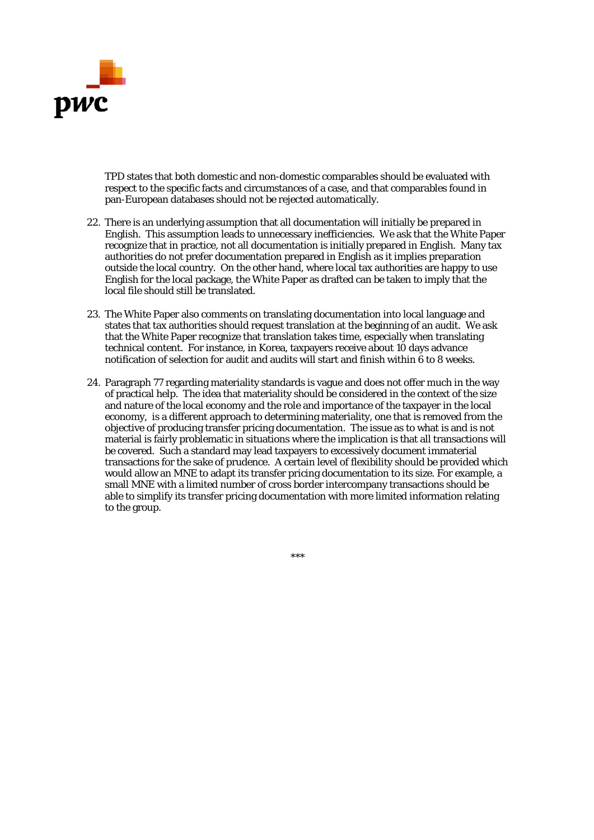

TPD states that both domestic and non-domestic comparables should be evaluated with respect to the specific facts and circumstances of a case, and that comparables found in pan-European databases should not be rejected automatically.

- 22. There is an underlying assumption that all documentation will initially be prepared in English. This assumption leads to unnecessary inefficiencies. We ask that the White Paper recognize that in practice, not all documentation is initially prepared in English. Many tax authorities do not prefer documentation prepared in English as it implies preparation outside the local country. On the other hand, where local tax authorities are happy to use English for the local package, the White Paper as drafted can be taken to imply that the local file should still be translated.
- 23. The White Paper also comments on translating documentation into local language and states that tax authorities should request translation at the beginning of an audit. We ask that the White Paper recognize that translation takes time, especially when translating technical content. For instance, in Korea, taxpayers receive about 10 days advance notification of selection for audit and audits will start and finish within  $\ddot{6}$  to 8 weeks.
- 24. Paragraph 77 regarding materiality standards is vague and does not offer much in the way of practical help. The idea that materiality should be considered in the context of the size and nature of the local economy and the role and importance of the taxpayer in the local economy, is a different approach to determining materiality, one that is removed from the objective of producing transfer pricing documentation. The issue as to what is and is not material is fairly problematic in situations where the implication is that all transactions will be covered. Such a standard may lead taxpayers to excessively document immaterial transactions for the sake of prudence. A certain level of flexibility should be provided which would allow an MNE to adapt its transfer pricing documentation to its size. For example, a small MNE with a limited number of cross border intercompany transactions should be able to simplify its transfer pricing documentation with more limited information relating to the group.

\*\*\*